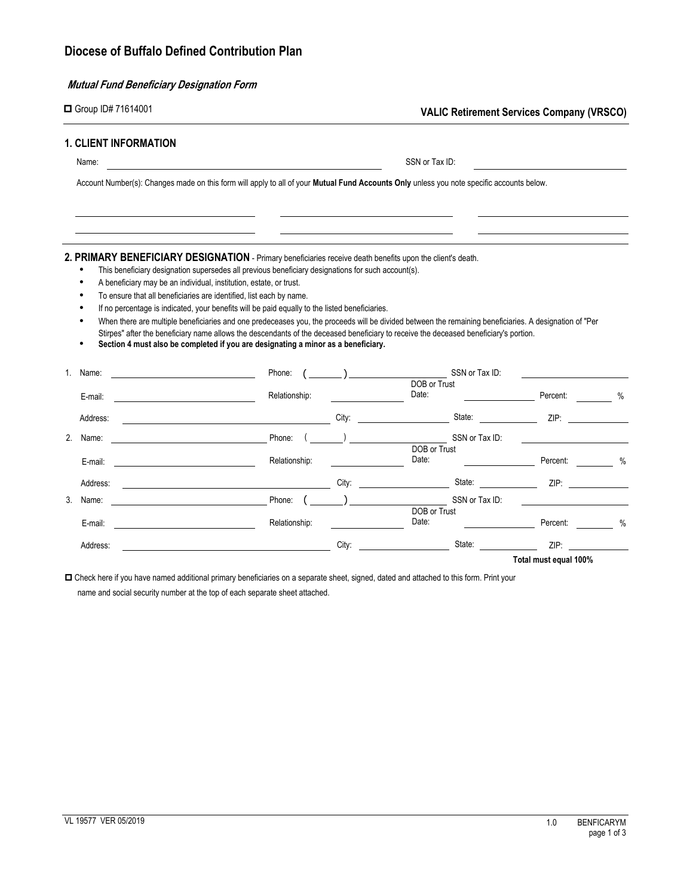# **Mutual Fund Beneficiary Designation Form**

|         | $\Box$ Group ID# 71614001                                          |                                                                                                                                                                                                                                                                                                                                                                                                                                                                                                                                                                                                                                                                                                                                                                                   |       |                               |                      | <b>VALIC Retirement Services Company (VRSCO)</b> |               |
|---------|--------------------------------------------------------------------|-----------------------------------------------------------------------------------------------------------------------------------------------------------------------------------------------------------------------------------------------------------------------------------------------------------------------------------------------------------------------------------------------------------------------------------------------------------------------------------------------------------------------------------------------------------------------------------------------------------------------------------------------------------------------------------------------------------------------------------------------------------------------------------|-------|-------------------------------|----------------------|--------------------------------------------------|---------------|
|         | <b>1. CLIENT INFORMATION</b>                                       |                                                                                                                                                                                                                                                                                                                                                                                                                                                                                                                                                                                                                                                                                                                                                                                   |       |                               |                      |                                                  |               |
| Name:   |                                                                    |                                                                                                                                                                                                                                                                                                                                                                                                                                                                                                                                                                                                                                                                                                                                                                                   |       | SSN or Tax ID:                |                      |                                                  |               |
|         |                                                                    | Account Number(s): Changes made on this form will apply to all of your Mutual Fund Accounts Only unless you note specific accounts below.                                                                                                                                                                                                                                                                                                                                                                                                                                                                                                                                                                                                                                         |       |                               |                      |                                                  |               |
|         | A beneficiary may be an individual, institution, estate, or trust. | 2. PRIMARY BENEFICIARY DESIGNATION - Primary beneficiaries receive death benefits upon the client's death.<br>This beneficiary designation supersedes all previous beneficiary designations for such account(s).<br>To ensure that all beneficiaries are identified, list each by name.<br>If no percentage is indicated, your benefits will be paid equally to the listed beneficiaries.<br>When there are multiple beneficiaries and one predeceases you, the proceeds will be divided between the remaining beneficiaries. A designation of "Per<br>Stirpes" after the beneficiary name allows the descendants of the deceased beneficiary to receive the deceased beneficiary's portion.<br>Section 4 must also be completed if you are designating a minor as a beneficiary. |       |                               |                      |                                                  |               |
| $1_{-}$ | <u> 1980 - Johann Barn, fransk politik (</u><br>Name:              |                                                                                                                                                                                                                                                                                                                                                                                                                                                                                                                                                                                                                                                                                                                                                                                   |       |                               | SSN or Tax ID:       |                                                  |               |
|         |                                                                    |                                                                                                                                                                                                                                                                                                                                                                                                                                                                                                                                                                                                                                                                                                                                                                                   |       | DOB or Trust<br>Date:         |                      |                                                  |               |
|         | E-mail:                                                            | Relationship:                                                                                                                                                                                                                                                                                                                                                                                                                                                                                                                                                                                                                                                                                                                                                                     |       |                               |                      | Percent:                                         |               |
|         | Address:                                                           |                                                                                                                                                                                                                                                                                                                                                                                                                                                                                                                                                                                                                                                                                                                                                                                   |       |                               |                      |                                                  |               |
| 2.      | Name:                                                              |                                                                                                                                                                                                                                                                                                                                                                                                                                                                                                                                                                                                                                                                                                                                                                                   |       |                               |                      |                                                  |               |
|         | <u> 1980 - Johann Barbara, martxa a</u><br>E-mail:                 | Relationship:                                                                                                                                                                                                                                                                                                                                                                                                                                                                                                                                                                                                                                                                                                                                                                     |       | DOB or Trust<br>Date:         |                      | Percent:                                         |               |
|         | Address:                                                           | <u> 1989 - Johann Barbara, martin a</u>                                                                                                                                                                                                                                                                                                                                                                                                                                                                                                                                                                                                                                                                                                                                           |       |                               |                      | City: State: State: ZIP:                         |               |
| 3.      | Name:                                                              | <b>Example 2016</b> Phone:                                                                                                                                                                                                                                                                                                                                                                                                                                                                                                                                                                                                                                                                                                                                                        |       | <u>.) ___________________</u> | SSN or Tax ID:       |                                                  |               |
|         |                                                                    |                                                                                                                                                                                                                                                                                                                                                                                                                                                                                                                                                                                                                                                                                                                                                                                   |       | DOB or Trust                  |                      |                                                  |               |
|         | E-mail:                                                            | Relationship:                                                                                                                                                                                                                                                                                                                                                                                                                                                                                                                                                                                                                                                                                                                                                                     |       | Date:                         |                      | Percent: <b>Example</b>                          | $\frac{0}{0}$ |
|         | Address:                                                           |                                                                                                                                                                                                                                                                                                                                                                                                                                                                                                                                                                                                                                                                                                                                                                                   | City: |                               | <b>State:</b> State: | ZIP:                                             |               |
|         |                                                                    |                                                                                                                                                                                                                                                                                                                                                                                                                                                                                                                                                                                                                                                                                                                                                                                   |       |                               |                      | Total must equal 100%                            |               |

 Check here if you have named additional primary beneficiaries on a separate sheet, signed, dated and attached to this form. Print your name and social security number at the top of each separate sheet attached.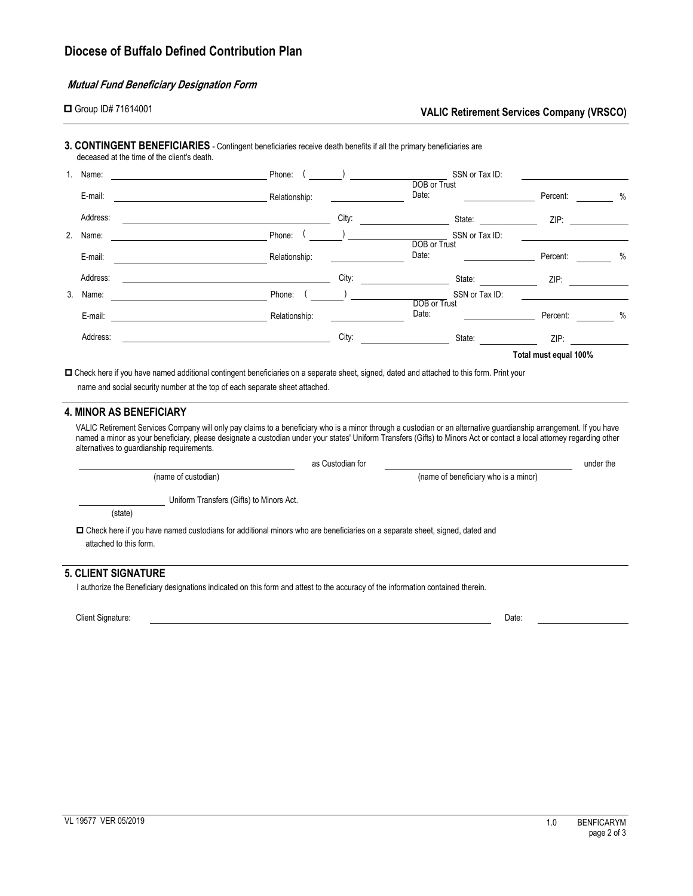# **Mutual Fund Beneficiary Designation Form**

|  | Group ID# 71614001 |
|--|--------------------|
|--|--------------------|

## **VALIC Retirement Services Company (VRSCO)**

# **3. CONTINGENT BENEFICIARIES** - Contingent beneficiaries receive death benefits if all the primary beneficiaries are

deceased at the time of the client's death.

|    | Name:    | Phone:                                                       |       |                                                                                                                                                                                                                                                                                                                                                | SSN or Tax ID:                                                                                                                                                                                                                 |                       |      |  |
|----|----------|--------------------------------------------------------------|-------|------------------------------------------------------------------------------------------------------------------------------------------------------------------------------------------------------------------------------------------------------------------------------------------------------------------------------------------------|--------------------------------------------------------------------------------------------------------------------------------------------------------------------------------------------------------------------------------|-----------------------|------|--|
|    | E-mail:  | Relationship:                                                |       |                                                                                                                                                                                                                                                                                                                                                | DOB or Trust                                                                                                                                                                                                                   | Percent:              | $\%$ |  |
|    | Address: |                                                              | City: |                                                                                                                                                                                                                                                                                                                                                | State:                                                                                                                                                                                                                         | ZIP:                  |      |  |
| 2. | Name:    | Phone:<br><u> 1989 - John Stein, Amerikaansk politiker (</u> |       | $\begin{array}{c} \hline \end{array}$                                                                                                                                                                                                                                                                                                          | SSN or Tax ID:                                                                                                                                                                                                                 |                       |      |  |
|    | E-mail:  | Relationship:                                                |       |                                                                                                                                                                                                                                                                                                                                                | DOB or Trust<br>Date:                                                                                                                                                                                                          | Percent:              | $\%$ |  |
|    | Address: |                                                              | City: |                                                                                                                                                                                                                                                                                                                                                | State:                                                                                                                                                                                                                         | ZIP:                  |      |  |
|    | 3. Name: | Phone:                                                       |       | $\begin{picture}(20,20)(-0.00,0.00) \put(0,0){\line(1,0){10}} \put(15,0){\line(1,0){10}} \put(15,0){\line(1,0){10}} \put(15,0){\line(1,0){10}} \put(15,0){\line(1,0){10}} \put(15,0){\line(1,0){10}} \put(15,0){\line(1,0){10}} \put(15,0){\line(1,0){10}} \put(15,0){\line(1,0){10}} \put(15,0){\line(1,0){10}} \put(15,0){\line(1,0){10}} \$ | SSN or Tax ID:                                                                                                                                                                                                                 |                       |      |  |
|    | E-mail:  | Relationship:                                                |       |                                                                                                                                                                                                                                                                                                                                                | DOB or Trust<br>Date:                                                                                                                                                                                                          | Percent:              | $\%$ |  |
|    | Address: |                                                              | City: |                                                                                                                                                                                                                                                                                                                                                | State: and the state of the state of the state of the state of the state of the state of the state of the state of the state of the state of the state of the state of the state of the state of the state of the state of the | ZIP:                  |      |  |
|    |          |                                                              |       |                                                                                                                                                                                                                                                                                                                                                |                                                                                                                                                                                                                                | Total must equal 100% |      |  |

 Check here if you have named additional contingent beneficiaries on a separate sheet, signed, dated and attached to this form. Print your name and social security number at the top of each separate sheet attached.

# **4. MINOR AS BENEFICIARY**

VALIC Retirement Services Company will only pay claims to a beneficiary who is a minor through a custodian or an alternative guardianship arrangement. If you have named a minor as your beneficiary, please designate a custodian under your states' Uniform Transfers (Gifts) to Minors Act or contact a local attorney regarding other alternatives to guardianship requirements.

|                                                                                                                                                        | as Custodian for |                                      |  |  |
|--------------------------------------------------------------------------------------------------------------------------------------------------------|------------------|--------------------------------------|--|--|
| (name of custodian)                                                                                                                                    |                  | (name of beneficiary who is a minor) |  |  |
| Uniform Transfers (Gifts) to Minors Act.                                                                                                               |                  |                                      |  |  |
| (state)                                                                                                                                                |                  |                                      |  |  |
| □ Check here if you have named custodians for additional minors who are beneficiaries on a separate sheet, signed, dated and<br>attached to this form. |                  |                                      |  |  |
| 5. CLIENT SIGNATURE                                                                                                                                    |                  |                                      |  |  |
| l authorize the Beneficiary designations indicated on this form and attest to the accuracy of the information contained therein.                       |                  |                                      |  |  |

Client Signature: Date: